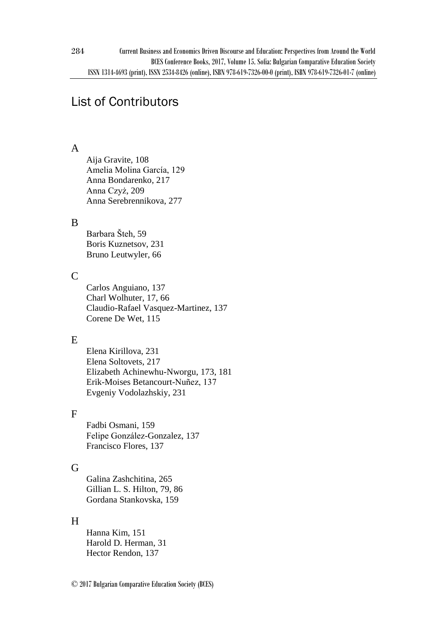# List of Contributors

# A

Aija Gravite, 108 Amelia Molina García, 129 Anna Bondarenko, 217 Anna Czyż, 209 Anna Serebrennikova, 277

# B

Barbara Šteh, 59 Boris Kuznetsov, 231 Bruno Leutwyler, 66

# C

Carlos Anguiano, 137 Charl Wolhuter, 17, 66 Claudio-Rafael Vasquez-Martinez, 137 Corene De Wet, 115

# E

Elena Kirillova, 231 Elena Soltovets, 217 Elizabeth Achinewhu-Nworgu, 173, 181 Erik-Moises Betancourt-Nuñez, 137 Evgeniy Vodolazhskiy, 231

# F

Fadbi Osmani, 159 Felipe González-Gonzalez, 137 Francisco Flores, 137

# G

Galina Zashchitina, 265 Gillian L. S. Hilton, 79, 86 Gordana Stankovska, 159

# H

Hanna Kim, 151 Harold D. Herman, 31 Hector Rendon, 137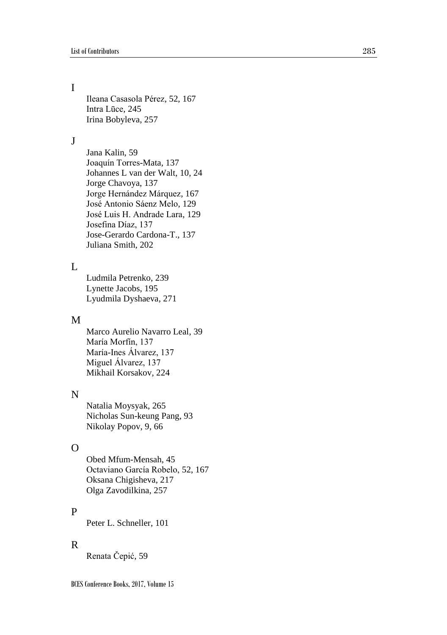# I

Ileana Casasola Pérez, 52 , 167 Intra Lūce, 245 Irina Bobyleva , 257

#### J

Jana Kalin, 59 Joaquín Torres -Mata, 137 Johannes L van der Walt, 10, 24 Jorge Chavoya, 137 Jorge Hernández Márquez , 167 José Antonio Sáenz Melo , 129 José Luis H. Andrade Lara, 129 Josefina Díaz, 137 Jose -Gerardo Cardona -T., 137 Juliana Smith , 202

## $\mathbf{L}$

Ludmila Petrenko, 239 Lynette Jacobs, 195 Lyudmila Dyshaeva, 271

#### M

Marco Aurelio Navarro Leal, 39 María Morfín, 137 María -Ines Álvarez, 137 Miguel Álvarez, 137 Mikhail Korsakov, 224

## N

Natalia Moysyak, 265 Nicholas Sun -keung Pang , 93 Nikolay Popov, 9, 66

## $\Omega$

Obed Mfum -Mensah, 45 Octaviano García Robelo, 52 , 167 Oksana Chigisheva, 217 Olga Zavodilkina , 257

#### P

Peter L. Schneller, 101

#### R

Renata Čepić , 59

BCES Conference Books, 2017, Volume 15